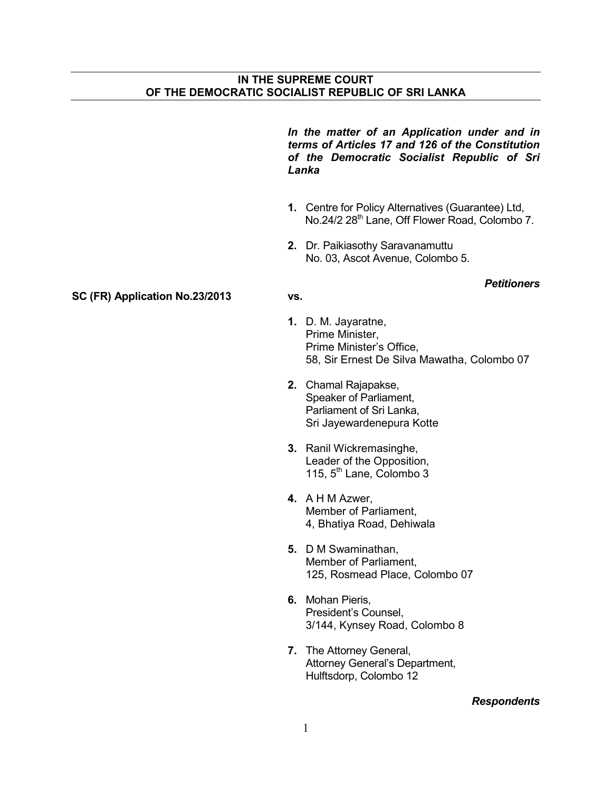*In the matter of an Application under and in terms of Articles 17 and 126 of the Constitution of the Democratic Socialist Republic of Sri Lanka* 

- **1.** Centre for Policy Alternatives (Guarantee) Ltd, No.24/2 28<sup>th</sup> Lane, Off Flower Road, Colombo 7.
- **2.** Dr. Paikiasothy Saravanamuttu No. 03, Ascot Avenue, Colombo 5.

## **SC (FR) Application No.23/2013 vs.**

## *Petitioners*

- **1.** D. M. Jayaratne, Prime Minister, Prime Minister's Office, 58, Sir Ernest De Silva Mawatha, Colombo 07
- **2.** Chamal Rajapakse, Speaker of Parliament, Parliament of Sri Lanka, Sri Jayewardenepura Kotte
- **3.** Ranil Wickremasinghe, Leader of the Opposition, 115,  $5<sup>th</sup>$  Lane, Colombo 3
- **4.** A H M Azwer, Member of Parliament, 4, Bhatiya Road, Dehiwala
- **5.** D M Swaminathan, Member of Parliament, 125, Rosmead Place, Colombo 07
- **6.** Mohan Pieris, President's Counsel, 3/144, Kynsey Road, Colombo 8
- **7.** The Attorney General, Attorney General's Department, Hulftsdorp, Colombo 12

## *Respondents*